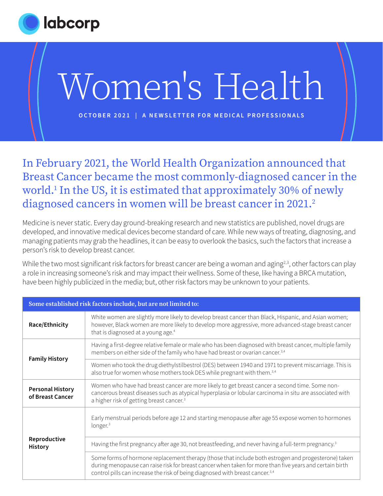

### In February 2021, the World Health Organization announced that Breast Cancer became the most commonly-diagnosed cancer in the world.1 In the US, it is estimated that approximately 30% of newly diagnosed cancers in women will be breast cancer in 2021.<sup>2</sup>

Medicine is never static. Every day ground-breaking research and new statistics are published, novel drugs are developed, and innovative medical devices become standard of care. While new ways of treating, diagnosing, and managing patients may grab the headlines, it can be easy to overlook the basics, such the factors that increase a person's risk to develop breast cancer.

While the two most significant risk factors for breast cancer are being a woman and aging<sup>2,3</sup>, other factors can play a role in increasing someone's risk and may impact their wellness. Some of these, like having a BRCA mutation, have been highly publicized in the media; but, other risk factors may be unknown to your patients.

| Some established risk factors include, but are not limited to: |                                                                                                                                                                                                                                                                                                             |
|----------------------------------------------------------------|-------------------------------------------------------------------------------------------------------------------------------------------------------------------------------------------------------------------------------------------------------------------------------------------------------------|
| Race/Ethnicity                                                 | White women are slightly more likely to develop breast cancer than Black, Hispanic, and Asian women;<br>however, Black women are more likely to develop more aggressive, more advanced-stage breast cancer<br>that is diagnosed at a young age. <sup>4</sup>                                                |
| <b>Family History</b>                                          | Having a first-degree relative female or male who has been diagnosed with breast cancer, multiple family<br>members on either side of the family who have had breast or ovarian cancer. <sup>3,4</sup>                                                                                                      |
|                                                                | Women who took the drug diethylstilbestrol (DES) between 1940 and 1971 to prevent miscarriage. This is<br>also true for women whose mothers took DES while pregnant with them. <sup>3,4</sup>                                                                                                               |
| <b>Personal History</b><br>of Breast Cancer                    | Women who have had breast cancer are more likely to get breast cancer a second time. Some non-<br>cancerous breast diseases such as atypical hyperplasia or lobular carcinoma in situ are associated with<br>a higher risk of getting breast cancer. <sup>3</sup>                                           |
| Reproductive<br><b>History</b>                                 | Early menstrual periods before age 12 and starting menopause after age 55 expose women to hormones<br>longer. <sup>3</sup>                                                                                                                                                                                  |
|                                                                | Having the first pregnancy after age 30, not breastfeeding, and never having a full-term pregnancy. <sup>3</sup>                                                                                                                                                                                            |
|                                                                | Some forms of hormone replacement therapy (those that include both estrogen and progesterone) taken<br>during menopause can raise risk for breast cancer when taken for more than five years and certain birth<br>control pills can increase the risk of being diagnosed with breast cancer. <sup>3,4</sup> |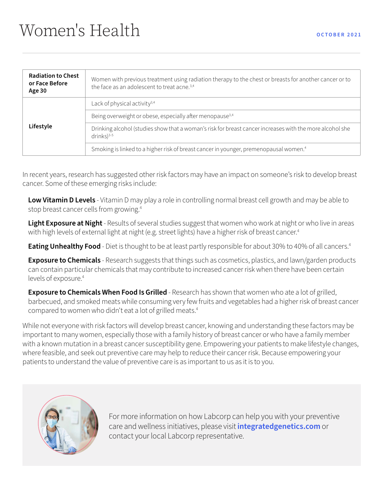| <b>Radiation to Chest</b><br>or Face Before<br>Age 30 | Women with previous treatment using radiation therapy to the chest or breasts for another cancer or to<br>the face as an adolescent to treat acne. <sup>3,4</sup> |
|-------------------------------------------------------|-------------------------------------------------------------------------------------------------------------------------------------------------------------------|
| Lifestyle                                             | Lack of physical activity $3,4$                                                                                                                                   |
|                                                       | Being overweight or obese, especially after menopause <sup>3,4</sup>                                                                                              |
|                                                       | Drinking alcohol (studies show that a woman's risk for breast cancer increases with the more alcohol she<br>$drinks$ <sup>3-5</sup>                               |
|                                                       | Smoking is linked to a higher risk of breast cancer in younger, premenopausal women. <sup>4</sup>                                                                 |

In recent years, research has suggested other risk factors may have an impact on someone's risk to develop breast cancer. Some of these emerging risks include:

**Low Vitamin D Levels** - Vitamin D may play a role in controlling normal breast cell growth and may be able to stop breast cancer cells from growing.4

**Light Exposure at Night** - Results of several studies suggest that women who work at night or who live in areas with high levels of external light at night (e.g. street lights) have a higher risk of breast cancer.<sup>4</sup>

**Eating Unhealthy Food** - Diet is thought to be at least partly responsible for about 30% to 40% of all cancers.<sup>4</sup>

**Exposure to Chemicals** - Research suggests that things such as cosmetics, plastics, and lawn/garden products can contain particular chemicals that may contribute to increased cancer risk when there have been certain levels of exposure.<sup>4</sup>

**Exposure to Chemicals When Food Is Grilled** - Research has shown that women who ate a lot of grilled, barbecued, and smoked meats while consuming very few fruits and vegetables had a higher risk of breast cancer compared to women who didn't eat a lot of grilled meats.4

While not everyone with risk factors will develop breast cancer, knowing and understanding these factors may be important to many women, especially those with a family history of breast cancer or who have a family member with a known mutation in a breast cancer susceptibility gene. Empowering your patients to make lifestyle changes, where feasible, and seek out preventive care may help to reduce their cancer risk. Because empowering your patients to understand the value of preventive care is as important to us as it is to you.



[For more information on how Labcorp can help you with your preventive](https://www.integratedgenetics.com/)  care and wellness initiatives, please visit **integratedgenetics.com** or contact your local Labcorp representative.